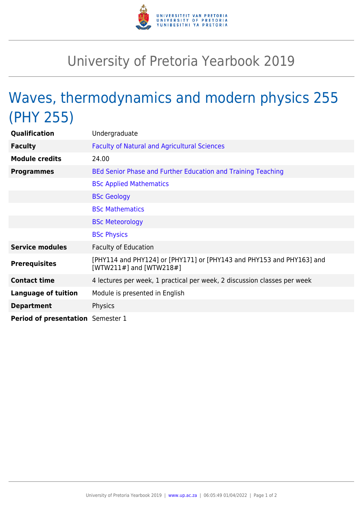

## University of Pretoria Yearbook 2019

## Waves, thermodynamics and modern physics 255 (PHY 255)

| <b>Qualification</b>              | Undergraduate                                                                                      |
|-----------------------------------|----------------------------------------------------------------------------------------------------|
| <b>Faculty</b>                    | <b>Faculty of Natural and Agricultural Sciences</b>                                                |
| <b>Module credits</b>             | 24.00                                                                                              |
| <b>Programmes</b>                 | BEd Senior Phase and Further Education and Training Teaching                                       |
|                                   | <b>BSc Applied Mathematics</b>                                                                     |
|                                   | <b>BSc Geology</b>                                                                                 |
|                                   | <b>BSc Mathematics</b>                                                                             |
|                                   | <b>BSc Meteorology</b>                                                                             |
|                                   | <b>BSc Physics</b>                                                                                 |
| <b>Service modules</b>            | <b>Faculty of Education</b>                                                                        |
| <b>Prerequisites</b>              | [PHY114 and PHY124] or [PHY171] or [PHY143 and PHY153 and PHY163] and<br>[WTW211#] and $[WTW218#]$ |
| <b>Contact time</b>               | 4 lectures per week, 1 practical per week, 2 discussion classes per week                           |
| <b>Language of tuition</b>        | Module is presented in English                                                                     |
| <b>Department</b>                 | Physics                                                                                            |
| Period of presentation Semester 1 |                                                                                                    |